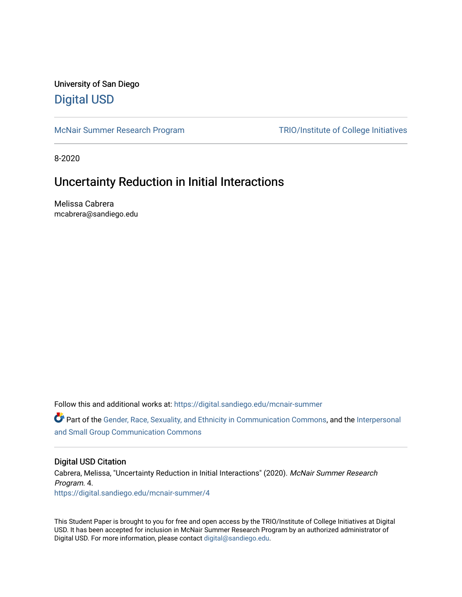University of San Diego [Digital USD](https://digital.sandiego.edu/)

[McNair Summer Research Program](https://digital.sandiego.edu/mcnair-summer) [TRIO/Institute of College Initiatives](https://digital.sandiego.edu/trio) 

8-2020

# Uncertainty Reduction in Initial Interactions

Melissa Cabrera mcabrera@sandiego.edu

Follow this and additional works at: [https://digital.sandiego.edu/mcnair-summer](https://digital.sandiego.edu/mcnair-summer?utm_source=digital.sandiego.edu%2Fmcnair-summer%2F4&utm_medium=PDF&utm_campaign=PDFCoverPages) 

Part of the [Gender, Race, Sexuality, and Ethnicity in Communication Commons,](http://network.bepress.com/hgg/discipline/329?utm_source=digital.sandiego.edu%2Fmcnair-summer%2F4&utm_medium=PDF&utm_campaign=PDFCoverPages) and the [Interpersonal](http://network.bepress.com/hgg/discipline/332?utm_source=digital.sandiego.edu%2Fmcnair-summer%2F4&utm_medium=PDF&utm_campaign=PDFCoverPages)  [and Small Group Communication Commons](http://network.bepress.com/hgg/discipline/332?utm_source=digital.sandiego.edu%2Fmcnair-summer%2F4&utm_medium=PDF&utm_campaign=PDFCoverPages)

# Digital USD Citation

Cabrera, Melissa, "Uncertainty Reduction in Initial Interactions" (2020). McNair Summer Research Program. 4. [https://digital.sandiego.edu/mcnair-summer/4](https://digital.sandiego.edu/mcnair-summer/4?utm_source=digital.sandiego.edu%2Fmcnair-summer%2F4&utm_medium=PDF&utm_campaign=PDFCoverPages)

This Student Paper is brought to you for free and open access by the TRIO/Institute of College Initiatives at Digital USD. It has been accepted for inclusion in McNair Summer Research Program by an authorized administrator of Digital USD. For more information, please contact [digital@sandiego.edu](mailto:digital@sandiego.edu).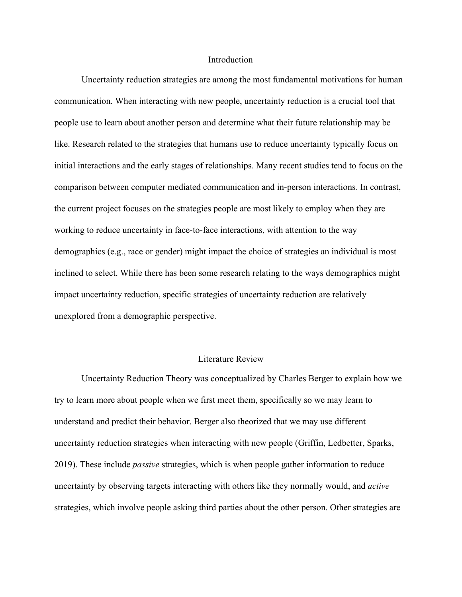#### **Introduction**

Uncertainty reduction strategies are among the most fundamental motivations for human communication. When interacting with new people, uncertainty reduction is a crucial tool that people use to learn about another person and determine what their future relationship may be like. Research related to the strategies that humans use to reduce uncertainty typically focus on initial interactions and the early stages of relationships. Many recent studies tend to focus on the comparison between computer mediated communication and in-person interactions. In contrast, the current project focuses on the strategies people are most likely to employ when they are working to reduce uncertainty in face-to-face interactions, with attention to the way demographics (e.g., race or gender) might impact the choice of strategies an individual is most inclined to select. While there has been some research relating to the ways demographics might impact uncertainty reduction, specific strategies of uncertainty reduction are relatively unexplored from a demographic perspective.

# Literature Review

Uncertainty Reduction Theory was conceptualized by Charles Berger to explain how we try to learn more about people when we first meet them, specifically so we may learn to understand and predict their behavior. Berger also theorized that we may use different uncertainty reduction strategies when interacting with new people (Griffin, Ledbetter, Sparks, 2019). These include *passive* strategies, which is when people gather information to reduce uncertainty by observing targets interacting with others like they normally would, and *active* strategies, which involve people asking third parties about the other person. Other strategies are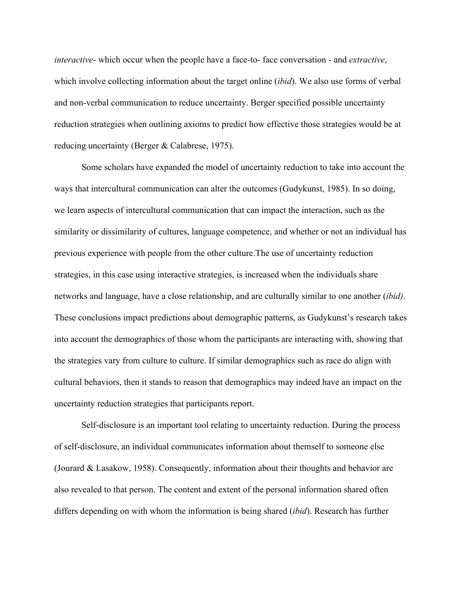*interactive-* which occur when the people have a face-to- face conversation - and *extractive*, which involve collecting information about the target online (*ibid*). We also use forms of verbal and non-verbal communication to reduce uncertainty. Berger specified possible uncertainty reduction strategies when outlining axioms to predict how effective those strategies would be at reducing uncertainty (Berger & Calabrese, 1975).

Some scholars have expanded the model of uncertainty reduction to take into account the ways that intercultural communication can alter the outcomes (Gudykunst, 1985). In so doing, we learn aspects of intercultural communication that can impact the interaction, such as the similarity or dissimilarity of cultures, language competence, and whether or not an individual has previous experience with people from the other culture.The use of uncertainty reduction strategies, in this case using interactive strategies, is increased when the individuals share networks and language, have a close relationship, and are culturally similar to one another (*ibid)*. These conclusions impact predictions about demographic patterns, as Gudykunst's research takes into account the demographics of those whom the participants are interacting with, showing that the strategies vary from culture to culture. If similar demographics such as race do align with cultural behaviors, then it stands to reason that demographics may indeed have an impact on the uncertainty reduction strategies that participants report.

Self-disclosure is an important tool relating to uncertainty reduction. During the process of self-disclosure, an individual communicates information about themself to someone else (Jourard & Lasakow, 1958). Consequently, information about their thoughts and behavior are also revealed to that person. The content and extent of the personal information shared often differs depending on with whom the information is being shared (*ibid*). Research has further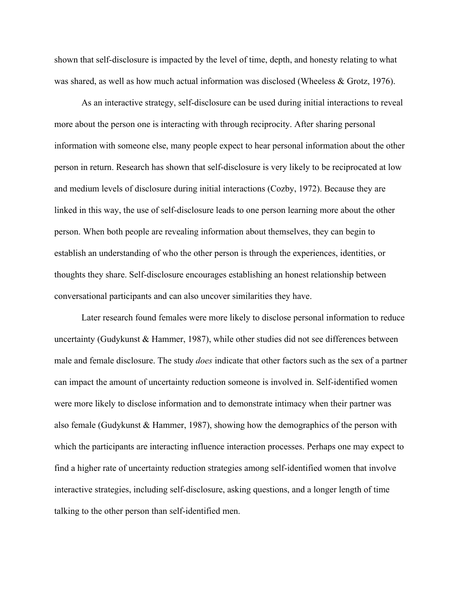shown that self-disclosure is impacted by the level of time, depth, and honesty relating to what was shared, as well as how much actual information was disclosed (Wheeless & Grotz, 1976).

As an interactive strategy, self-disclosure can be used during initial interactions to reveal more about the person one is interacting with through reciprocity. After sharing personal information with someone else, many people expect to hear personal information about the other person in return. Research has shown that self-disclosure is very likely to be reciprocated at low and medium levels of disclosure during initial interactions (Cozby, 1972). Because they are linked in this way, the use of self-disclosure leads to one person learning more about the other person. When both people are revealing information about themselves, they can begin to establish an understanding of who the other person is through the experiences, identities, or thoughts they share. Self-disclosure encourages establishing an honest relationship between conversational participants and can also uncover similarities they have.

Later research found females were more likely to disclose personal information to reduce uncertainty (Gudykunst & Hammer, 1987), while other studies did not see differences between male and female disclosure. The study *does* indicate that other factors such as the sex of a partner can impact the amount of uncertainty reduction someone is involved in. Self-identified women were more likely to disclose information and to demonstrate intimacy when their partner was also female (Gudykunst & Hammer, 1987), showing how the demographics of the person with which the participants are interacting influence interaction processes. Perhaps one may expect to find a higher rate of uncertainty reduction strategies among self-identified women that involve interactive strategies, including self-disclosure, asking questions, and a longer length of time talking to the other person than self-identified men.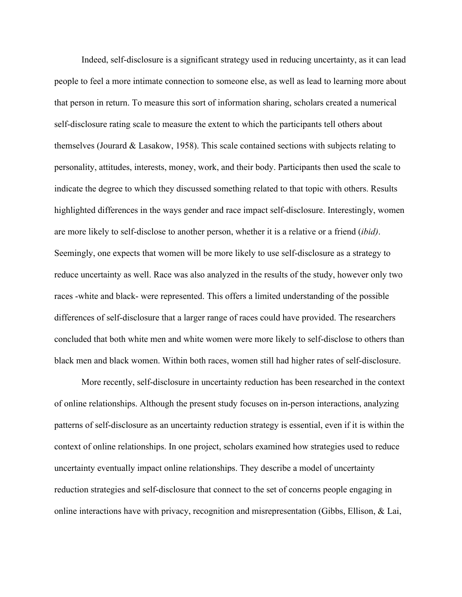Indeed, self-disclosure is a significant strategy used in reducing uncertainty, as it can lead people to feel a more intimate connection to someone else, as well as lead to learning more about that person in return. To measure this sort of information sharing, scholars created a numerical self-disclosure rating scale to measure the extent to which the participants tell others about themselves (Jourard & Lasakow, 1958). This scale contained sections with subjects relating to personality, attitudes, interests, money, work, and their body. Participants then used the scale to indicate the degree to which they discussed something related to that topic with others. Results highlighted differences in the ways gender and race impact self-disclosure. Interestingly, women are more likely to self-disclose to another person, whether it is a relative or a friend (*ibid)*. Seemingly, one expects that women will be more likely to use self-disclosure as a strategy to reduce uncertainty as well. Race was also analyzed in the results of the study, however only two races -white and black- were represented. This offers a limited understanding of the possible differences of self-disclosure that a larger range of races could have provided. The researchers concluded that both white men and white women were more likely to self-disclose to others than black men and black women. Within both races, women still had higher rates of self-disclosure.

More recently, self-disclosure in uncertainty reduction has been researched in the context of online relationships. Although the present study focuses on in-person interactions, analyzing patterns of self-disclosure as an uncertainty reduction strategy is essential, even if it is within the context of online relationships. In one project, scholars examined how strategies used to reduce uncertainty eventually impact online relationships. They describe a model of uncertainty reduction strategies and self-disclosure that connect to the set of concerns people engaging in online interactions have with privacy, recognition and misrepresentation (Gibbs, Ellison, & Lai,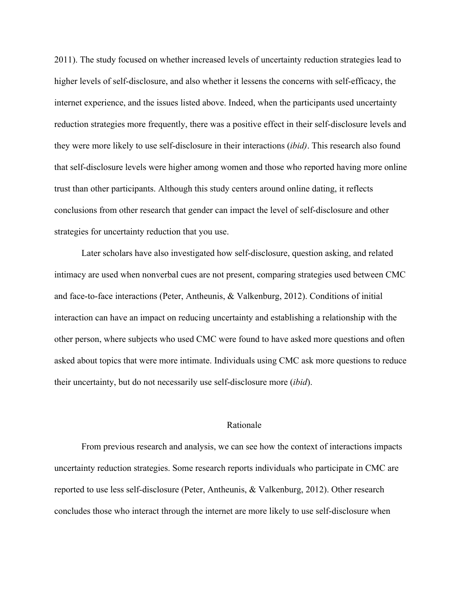2011). The study focused on whether increased levels of uncertainty reduction strategies lead to higher levels of self-disclosure, and also whether it lessens the concerns with self-efficacy, the internet experience, and the issues listed above. Indeed, when the participants used uncertainty reduction strategies more frequently, there was a positive effect in their self-disclosure levels and they were more likely to use self-disclosure in their interactions (*ibid)*. This research also found that self-disclosure levels were higher among women and those who reported having more online trust than other participants. Although this study centers around online dating, it reflects conclusions from other research that gender can impact the level of self-disclosure and other strategies for uncertainty reduction that you use.

Later scholars have also investigated how self-disclosure, question asking, and related intimacy are used when nonverbal cues are not present, comparing strategies used between CMC and face-to-face interactions (Peter, Antheunis, & Valkenburg, 2012). Conditions of initial interaction can have an impact on reducing uncertainty and establishing a relationship with the other person, where subjects who used CMC were found to have asked more questions and often asked about topics that were more intimate. Individuals using CMC ask more questions to reduce their uncertainty, but do not necessarily use self-disclosure more (*ibid*).

#### Rationale

From previous research and analysis, we can see how the context of interactions impacts uncertainty reduction strategies. Some research reports individuals who participate in CMC are reported to use less self-disclosure (Peter, Antheunis, & Valkenburg, 2012). Other research concludes those who interact through the internet are more likely to use self-disclosure when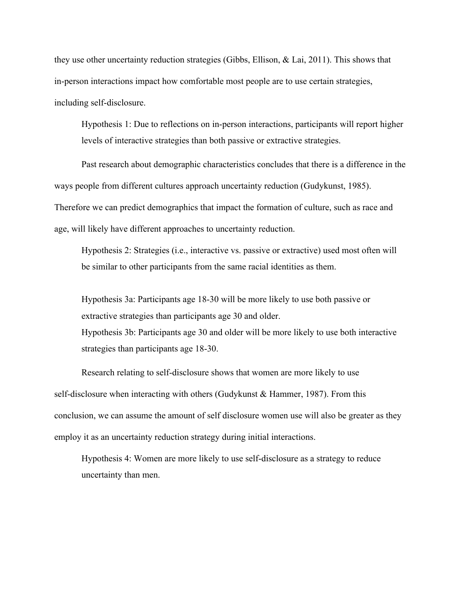they use other uncertainty reduction strategies (Gibbs, Ellison, & Lai, 2011). This shows that in-person interactions impact how comfortable most people are to use certain strategies, including self-disclosure.

Hypothesis 1: Due to reflections on in-person interactions, participants will report higher levels of interactive strategies than both passive or extractive strategies.

Past research about demographic characteristics concludes that there is a difference in the ways people from different cultures approach uncertainty reduction (Gudykunst, 1985). Therefore we can predict demographics that impact the formation of culture, such as race and age, will likely have different approaches to uncertainty reduction.

Hypothesis 2: Strategies (i.e., interactive vs. passive or extractive) used most often will be similar to other participants from the same racial identities as them.

Hypothesis 3a: Participants age 18-30 will be more likely to use both passive or extractive strategies than participants age 30 and older. Hypothesis 3b: Participants age 30 and older will be more likely to use both interactive strategies than participants age 18-30.

Research relating to self-disclosure shows that women are more likely to use self-disclosure when interacting with others (Gudykunst & Hammer, 1987). From this conclusion, we can assume the amount of self disclosure women use will also be greater as they employ it as an uncertainty reduction strategy during initial interactions.

Hypothesis 4: Women are more likely to use self-disclosure as a strategy to reduce uncertainty than men.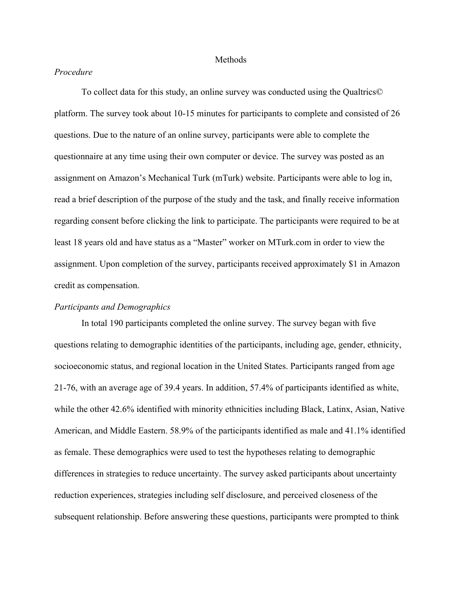#### Methods

# *Procedure*

To collect data for this study, an online survey was conducted using the Qualtrics© platform. The survey took about 10-15 minutes for participants to complete and consisted of 26 questions. Due to the nature of an online survey, participants were able to complete the questionnaire at any time using their own computer or device. The survey was posted as an assignment on Amazon's Mechanical Turk (mTurk) website. Participants were able to log in, read a brief description of the purpose of the study and the task, and finally receive information regarding consent before clicking the link to participate. The participants were required to be at least 18 years old and have status as a "Master" worker on MTurk.com in order to view the assignment. Upon completion of the survey, participants received approximately \$1 in Amazon credit as compensation.

# *Participants and Demographics*

In total 190 participants completed the online survey. The survey began with five questions relating to demographic identities of the participants, including age, gender, ethnicity, socioeconomic status, and regional location in the United States. Participants ranged from age 21-76, with an average age of 39.4 years. In addition, 57.4% of participants identified as white, while the other 42.6% identified with minority ethnicities including Black, Latinx, Asian, Native American, and Middle Eastern. 58.9% of the participants identified as male and 41.1% identified as female. These demographics were used to test the hypotheses relating to demographic differences in strategies to reduce uncertainty. The survey asked participants about uncertainty reduction experiences, strategies including self disclosure, and perceived closeness of the subsequent relationship. Before answering these questions, participants were prompted to think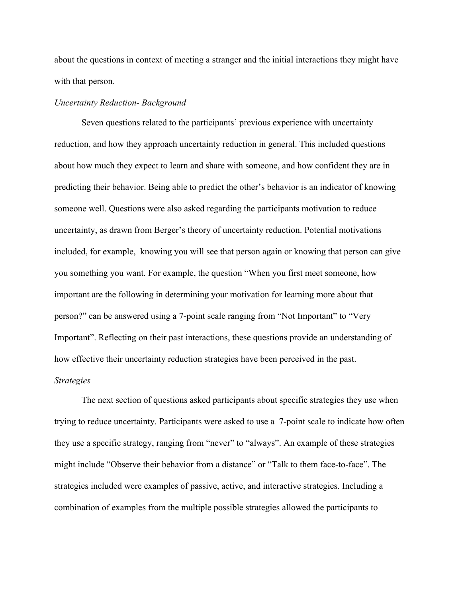about the questions in context of meeting a stranger and the initial interactions they might have with that person.

# *Uncertainty Reduction- Background*

Seven questions related to the participants' previous experience with uncertainty reduction, and how they approach uncertainty reduction in general. This included questions about how much they expect to learn and share with someone, and how confident they are in predicting their behavior. Being able to predict the other's behavior is an indicator of knowing someone well. Questions were also asked regarding the participants motivation to reduce uncertainty, as drawn from Berger's theory of uncertainty reduction. Potential motivations included, for example, knowing you will see that person again or knowing that person can give you something you want. For example, the question "When you first meet someone, how important are the following in determining your motivation for learning more about that person?" can be answered using a 7-point scale ranging from "Not Important" to "Very Important". Reflecting on their past interactions, these questions provide an understanding of how effective their uncertainty reduction strategies have been perceived in the past.

#### *Strategies*

The next section of questions asked participants about specific strategies they use when trying to reduce uncertainty. Participants were asked to use a 7-point scale to indicate how often they use a specific strategy, ranging from "never" to "always". An example of these strategies might include "Observe their behavior from a distance" or "Talk to them face-to-face". The strategies included were examples of passive, active, and interactive strategies. Including a combination of examples from the multiple possible strategies allowed the participants to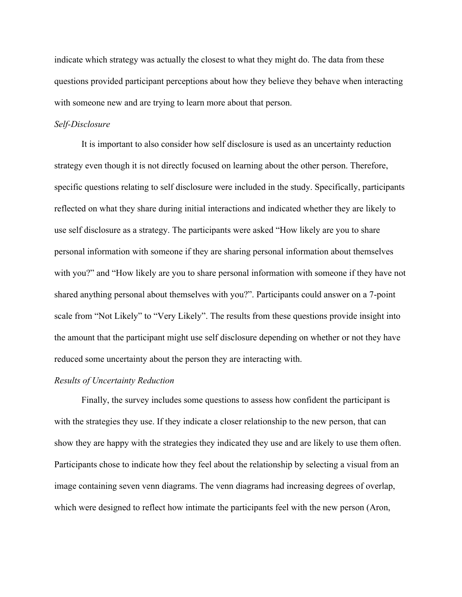indicate which strategy was actually the closest to what they might do. The data from these questions provided participant perceptions about how they believe they behave when interacting with someone new and are trying to learn more about that person.

# *Self-Disclosure*

It is important to also consider how self disclosure is used as an uncertainty reduction strategy even though it is not directly focused on learning about the other person. Therefore, specific questions relating to self disclosure were included in the study. Specifically, participants reflected on what they share during initial interactions and indicated whether they are likely to use self disclosure as a strategy. The participants were asked "How likely are you to share personal information with someone if they are sharing personal information about themselves with you?" and "How likely are you to share personal information with someone if they have not shared anything personal about themselves with you?". Participants could answer on a 7-point scale from "Not Likely" to "Very Likely". The results from these questions provide insight into the amount that the participant might use self disclosure depending on whether or not they have reduced some uncertainty about the person they are interacting with.

# *Results of Uncertainty Reduction*

Finally, the survey includes some questions to assess how confident the participant is with the strategies they use. If they indicate a closer relationship to the new person, that can show they are happy with the strategies they indicated they use and are likely to use them often. Participants chose to indicate how they feel about the relationship by selecting a visual from an image containing seven venn diagrams. The venn diagrams had increasing degrees of overlap, which were designed to reflect how intimate the participants feel with the new person (Aron,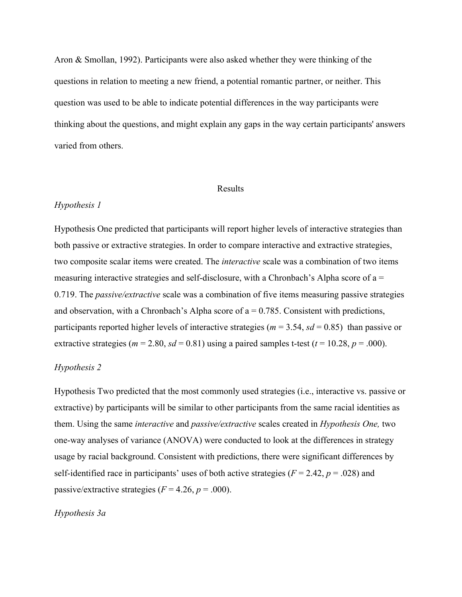Aron & Smollan, 1992). Participants were also asked whether they were thinking of the questions in relation to meeting a new friend, a potential romantic partner, or neither. This question was used to be able to indicate potential differences in the way participants were thinking about the questions, and might explain any gaps in the way certain participants' answers varied from others.

#### Results

# *Hypothesis 1*

Hypothesis One predicted that participants will report higher levels of interactive strategies than both passive or extractive strategies. In order to compare interactive and extractive strategies, two composite scalar items were created. The *interactive* scale was a combination of two items measuring interactive strategies and self-disclosure, with a Chronbach's Alpha score of a = 0.719. The *passive/extractive* scale was a combination of five items measuring passive strategies and observation, with a Chronbach's Alpha score of  $a = 0.785$ . Consistent with predictions, participants reported higher levels of interactive strategies ( $m = 3.54$ ,  $sd = 0.85$ ) than passive or extractive strategies ( $m = 2.80$ ,  $sd = 0.81$ ) using a paired samples t-test ( $t = 10.28$ ,  $p = .000$ ).

## *Hypothesis 2*

Hypothesis Two predicted that the most commonly used strategies (i.e., interactive vs. passive or extractive) by participants will be similar to other participants from the same racial identities as them. Using the same *interactive* and *passive/extractive* scales created in *Hypothesis One,* two one-way analyses of variance (ANOVA) were conducted to look at the differences in strategy usage by racial background. Consistent with predictions, there were significant differences by self-identified race in participants' uses of both active strategies ( $F = 2.42$ ,  $p = .028$ ) and passive/extractive strategies  $(F = 4.26, p = .000)$ .

#### *Hypothesis 3a*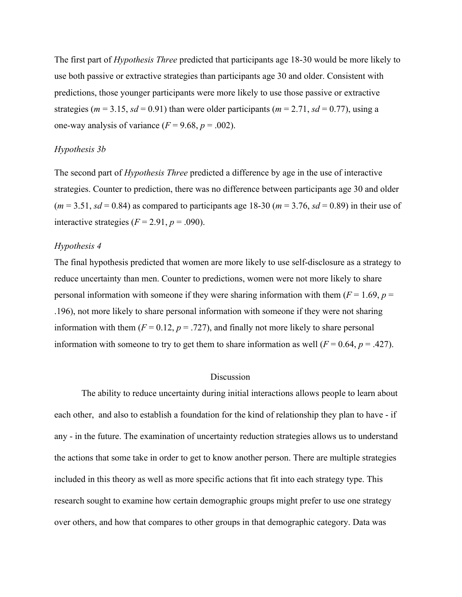The first part of *Hypothesis Three* predicted that participants age 18-30 would be more likely to use both passive or extractive strategies than participants age 30 and older. Consistent with predictions, those younger participants were more likely to use those passive or extractive strategies ( $m = 3.15$ ,  $sd = 0.91$ ) than were older participants ( $m = 2.71$ ,  $sd = 0.77$ ), using a one-way analysis of variance  $(F = 9.68, p = .002)$ .

# *Hypothesis 3b*

The second part of *Hypothesis Three* predicted a difference by age in the use of interactive strategies. Counter to prediction, there was no difference between participants age 30 and older  $(m = 3.51, sd = 0.84)$  as compared to participants age 18-30 ( $m = 3.76$ ,  $sd = 0.89$ ) in their use of interactive strategies  $(F = 2.91, p = .090)$ .

## *Hypothesis 4*

The final hypothesis predicted that women are more likely to use self-disclosure as a strategy to reduce uncertainty than men. Counter to predictions, women were not more likely to share personal information with someone if they were sharing information with them ( $F = 1.69$ ,  $p =$ .196), not more likely to share personal information with someone if they were not sharing information with them  $(F = 0.12, p = .727)$ , and finally not more likely to share personal information with someone to try to get them to share information as well  $(F = 0.64, p = .427)$ .

#### **Discussion**

The ability to reduce uncertainty during initial interactions allows people to learn about each other, and also to establish a foundation for the kind of relationship they plan to have - if any - in the future. The examination of uncertainty reduction strategies allows us to understand the actions that some take in order to get to know another person. There are multiple strategies included in this theory as well as more specific actions that fit into each strategy type. This research sought to examine how certain demographic groups might prefer to use one strategy over others, and how that compares to other groups in that demographic category. Data was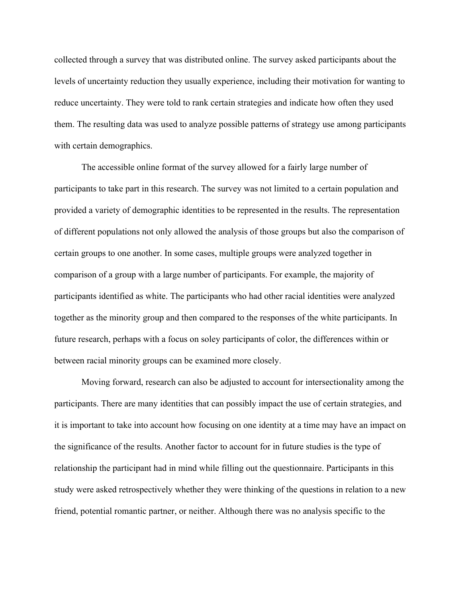collected through a survey that was distributed online. The survey asked participants about the levels of uncertainty reduction they usually experience, including their motivation for wanting to reduce uncertainty. They were told to rank certain strategies and indicate how often they used them. The resulting data was used to analyze possible patterns of strategy use among participants with certain demographics.

The accessible online format of the survey allowed for a fairly large number of participants to take part in this research. The survey was not limited to a certain population and provided a variety of demographic identities to be represented in the results. The representation of different populations not only allowed the analysis of those groups but also the comparison of certain groups to one another. In some cases, multiple groups were analyzed together in comparison of a group with a large number of participants. For example, the majority of participants identified as white. The participants who had other racial identities were analyzed together as the minority group and then compared to the responses of the white participants. In future research, perhaps with a focus on soley participants of color, the differences within or between racial minority groups can be examined more closely.

Moving forward, research can also be adjusted to account for intersectionality among the participants. There are many identities that can possibly impact the use of certain strategies, and it is important to take into account how focusing on one identity at a time may have an impact on the significance of the results. Another factor to account for in future studies is the type of relationship the participant had in mind while filling out the questionnaire. Participants in this study were asked retrospectively whether they were thinking of the questions in relation to a new friend, potential romantic partner, or neither. Although there was no analysis specific to the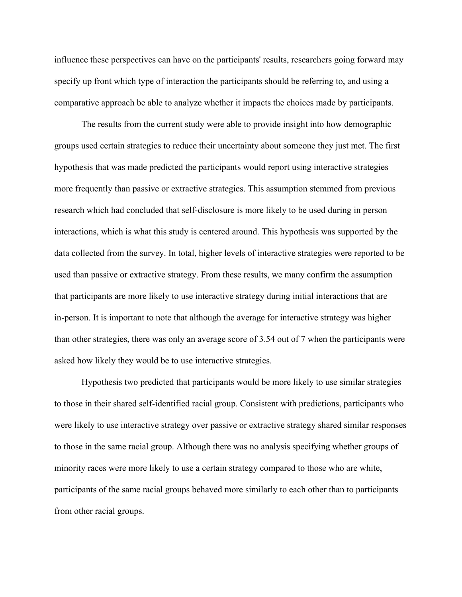influence these perspectives can have on the participants' results, researchers going forward may specify up front which type of interaction the participants should be referring to, and using a comparative approach be able to analyze whether it impacts the choices made by participants.

The results from the current study were able to provide insight into how demographic groups used certain strategies to reduce their uncertainty about someone they just met. The first hypothesis that was made predicted the participants would report using interactive strategies more frequently than passive or extractive strategies. This assumption stemmed from previous research which had concluded that self-disclosure is more likely to be used during in person interactions, which is what this study is centered around. This hypothesis was supported by the data collected from the survey. In total, higher levels of interactive strategies were reported to be used than passive or extractive strategy. From these results, we many confirm the assumption that participants are more likely to use interactive strategy during initial interactions that are in-person. It is important to note that although the average for interactive strategy was higher than other strategies, there was only an average score of 3.54 out of 7 when the participants were asked how likely they would be to use interactive strategies.

Hypothesis two predicted that participants would be more likely to use similar strategies to those in their shared self-identified racial group. Consistent with predictions, participants who were likely to use interactive strategy over passive or extractive strategy shared similar responses to those in the same racial group. Although there was no analysis specifying whether groups of minority races were more likely to use a certain strategy compared to those who are white, participants of the same racial groups behaved more similarly to each other than to participants from other racial groups.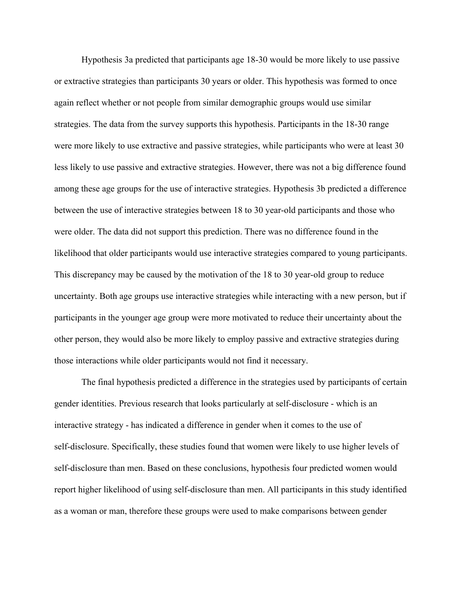Hypothesis 3a predicted that participants age 18-30 would be more likely to use passive or extractive strategies than participants 30 years or older. This hypothesis was formed to once again reflect whether or not people from similar demographic groups would use similar strategies. The data from the survey supports this hypothesis. Participants in the 18-30 range were more likely to use extractive and passive strategies, while participants who were at least 30 less likely to use passive and extractive strategies. However, there was not a big difference found among these age groups for the use of interactive strategies. Hypothesis 3b predicted a difference between the use of interactive strategies between 18 to 30 year-old participants and those who were older. The data did not support this prediction. There was no difference found in the likelihood that older participants would use interactive strategies compared to young participants. This discrepancy may be caused by the motivation of the 18 to 30 year-old group to reduce uncertainty. Both age groups use interactive strategies while interacting with a new person, but if participants in the younger age group were more motivated to reduce their uncertainty about the other person, they would also be more likely to employ passive and extractive strategies during those interactions while older participants would not find it necessary.

The final hypothesis predicted a difference in the strategies used by participants of certain gender identities. Previous research that looks particularly at self-disclosure - which is an interactive strategy - has indicated a difference in gender when it comes to the use of self-disclosure. Specifically, these studies found that women were likely to use higher levels of self-disclosure than men. Based on these conclusions, hypothesis four predicted women would report higher likelihood of using self-disclosure than men. All participants in this study identified as a woman or man, therefore these groups were used to make comparisons between gender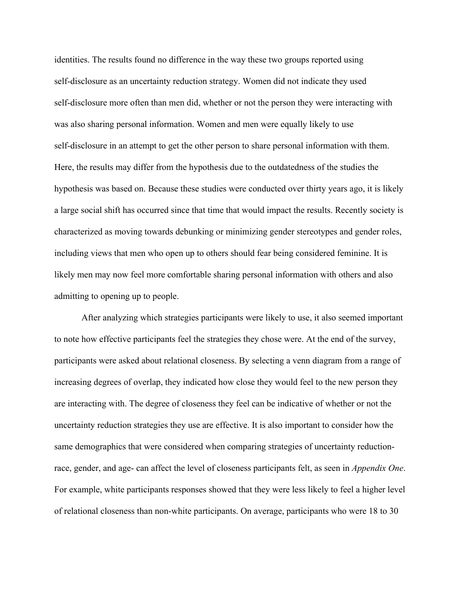identities. The results found no difference in the way these two groups reported using self-disclosure as an uncertainty reduction strategy. Women did not indicate they used self-disclosure more often than men did, whether or not the person they were interacting with was also sharing personal information. Women and men were equally likely to use self-disclosure in an attempt to get the other person to share personal information with them. Here, the results may differ from the hypothesis due to the outdatedness of the studies the hypothesis was based on. Because these studies were conducted over thirty years ago, it is likely a large social shift has occurred since that time that would impact the results. Recently society is characterized as moving towards debunking or minimizing gender stereotypes and gender roles, including views that men who open up to others should fear being considered feminine. It is likely men may now feel more comfortable sharing personal information with others and also admitting to opening up to people.

After analyzing which strategies participants were likely to use, it also seemed important to note how effective participants feel the strategies they chose were. At the end of the survey, participants were asked about relational closeness. By selecting a venn diagram from a range of increasing degrees of overlap, they indicated how close they would feel to the new person they are interacting with. The degree of closeness they feel can be indicative of whether or not the uncertainty reduction strategies they use are effective. It is also important to consider how the same demographics that were considered when comparing strategies of uncertainty reductionrace, gender, and age- can affect the level of closeness participants felt, as seen in *Appendix One*. For example, white participants responses showed that they were less likely to feel a higher level of relational closeness than non-white participants. On average, participants who were 18 to 30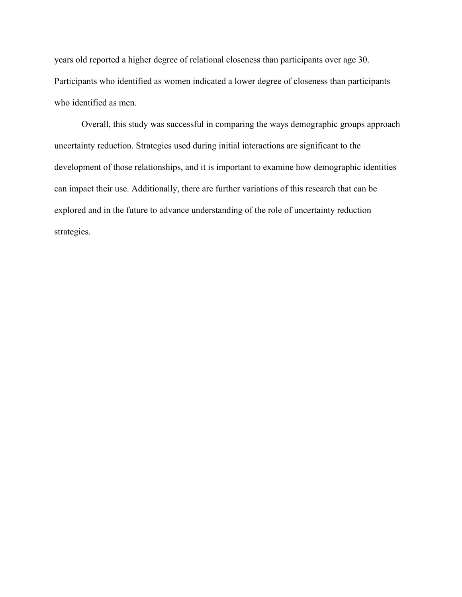years old reported a higher degree of relational closeness than participants over age 30. Participants who identified as women indicated a lower degree of closeness than participants who identified as men.

Overall, this study was successful in comparing the ways demographic groups approach uncertainty reduction. Strategies used during initial interactions are significant to the development of those relationships, and it is important to examine how demographic identities can impact their use. Additionally, there are further variations of this research that can be explored and in the future to advance understanding of the role of uncertainty reduction strategies.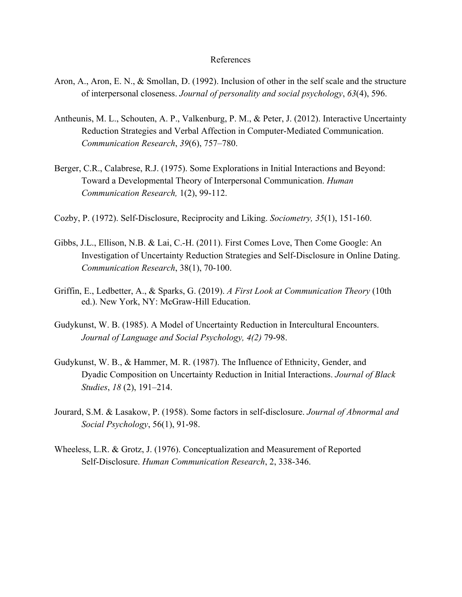#### References

- Aron, A., Aron, E. N., & Smollan, D. (1992). Inclusion of other in the self scale and the structure of interpersonal closeness. *Journal of personality and social psychology*, *63*(4), 596.
- Antheunis, M. L., Schouten, A. P., Valkenburg, P. M., & Peter, J. (2012). Interactive Uncertainty Reduction Strategies and Verbal Affection in Computer-Mediated Communication. *Communication Research*, *39*(6), 757–780.
- Berger, C.R., Calabrese, R.J. (1975). Some Explorations in Initial Interactions and Beyond: Toward a Developmental Theory of Interpersonal Communication. *Human Communication Research,* 1(2), 99-112.
- Cozby, P. (1972). Self-Disclosure, Reciprocity and Liking. *Sociometry, 35*(1), 151-160.
- Gibbs, J.L., Ellison, N.B. & Lai, C.-H. (2011). First Comes Love, Then Come Google: An Investigation of Uncertainty Reduction Strategies and Self-Disclosure in Online Dating. *Communication Research*, 38(1), 70-100.
- Griffin, E., Ledbetter, A., & Sparks, G. (2019). *A First Look at Communication Theory* (10th ed.). New York, NY: McGraw-Hill Education.
- Gudykunst, W. B. (1985). A Model of Uncertainty Reduction in Intercultural Encounters. *Journal of Language and Social Psychology, 4(2)* 79-98.
- Gudykunst, W. B., & Hammer, M. R. (1987). The Influence of Ethnicity, Gender, and Dyadic Composition on Uncertainty Reduction in Initial Interactions. *Journal of Black Studies*, *18* (2), 191–214.
- Jourard, S.M. & Lasakow, P. (1958). Some factors in self-disclosure. *Journal of Abnormal and Social Psychology*, 56(1), 91-98.
- Wheeless, L.R. & Grotz, J. (1976). Conceptualization and Measurement of Reported Self-Disclosure. *Human Communication Research*, 2, 338-346.